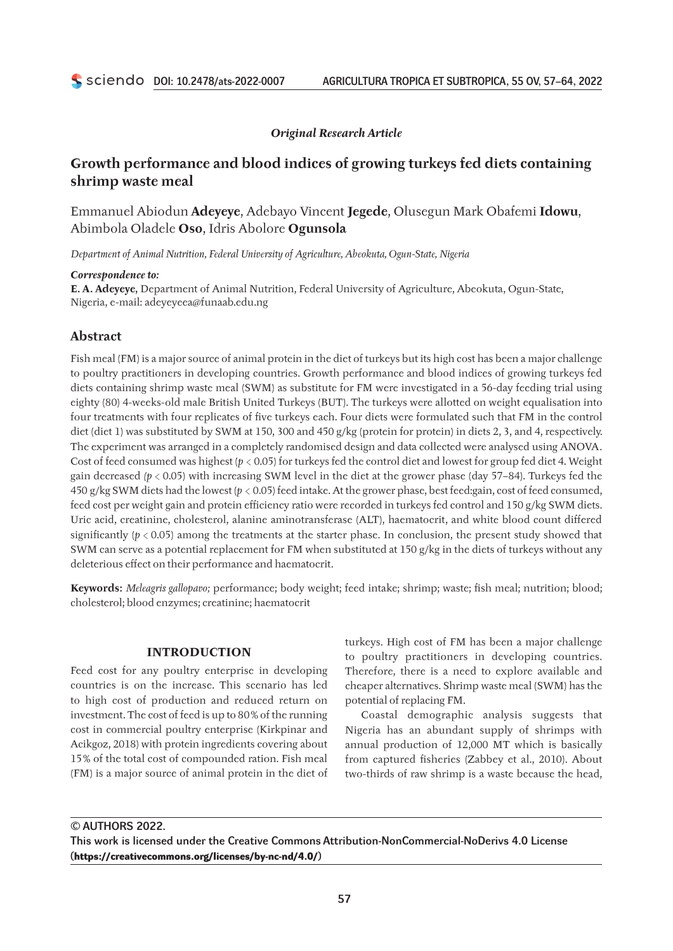## *Original Research Article*

# **Growth performance and blood indices of growing turkeys fed diets containing shrimp waste meal**

Emmanuel Abiodun **Adeyeye**, Adebayo Vincent **Jegede**, Olusegun Mark Obafemi **Idowu**, Abimbola Oladele **Oso**, Idris Abolore **Ogunsola**

*Department of Animal Nutrition, Federal University of Agriculture, Abeokuta, Ogun‑State, Nigeria*

#### *Correspondence to:*

**E. A. Adeyeye,** Department of Animal Nutrition, Federal University of Agriculture, Abeokuta, Ogun‑State, Nigeria, e‑mail: [adeyeyeea@funaab.edu.ng](mailto:adeyeyeea@funaab.edu.ng)

## **Abstract**

Fish meal (FM) is a major source of animal protein in the diet of turkeys but its high cost has been a major challenge to poultry practitioners in developing countries. Growth performance and blood indices of growing turkeys fed diets containing shrimp waste meal (SWM) as substitute for FM were investigated in a 56‑day feeding trial using eighty (80) 4‑weeks‑old male British United Turkeys (BUT). The turkeys were allotted on weight equalisation into four treatments with four replicates of five turkeys each. Four diets were formulated such that FM in the control diet (diet 1) was substituted by SWM at 150, 300 and 450 g/kg (protein for protein) in diets 2, 3, and 4, respectively. The experiment was arranged in a completely randomised design and data collected were analysed using ANOVA. Cost of feed consumed was highest ( $p < 0.05$ ) for turkeys fed the control diet and lowest for group fed diet 4. Weight gain decreased *(p* < 0.05) with increasing SWM level in the diet at the grower phase (day 57–84). Turkeys fed the 450 g/kg SWM diets had the lowest (*p* < 0.05) feed intake. At the grower phase, best feed:gain, cost of feed consumed, feed cost per weight gain and protein efficiency ratio were recorded in turkeys fed control and 150 g/kg SWM diets. Uric acid, creatinine, cholesterol, alanine aminotransferase (ALT), haematocrit, and white blood count differed significantly ( $p < 0.05$ ) among the treatments at the starter phase. In conclusion, the present study showed that SWM can serve as a potential replacement for FM when substituted at 150 g/kg in the diets of turkeys without any deleterious effect on their performance and haematocrit.

**Keywords:** *Meleagris gallopavo;* performance; body weight; feed intake; shrimp; waste; fish meal; nutrition; blood; cholesterol; blood enzymes; creatinine; haematocrit

### **INTRODUCTION**

Feed cost for any poultry enterprise in developing countries is on the increase. This scenario has led to high cost of production and reduced return on investment. The cost of feed is up to 80% of the running cost in commercial poultry enterprise (Kirkpinar and Acikgoz, 2018) with protein ingredients covering about 15% of the total cost of compounded ration. Fish meal (FM) is a major source of animal protein in the diet of turkeys. High cost of FM has been a major challenge to poultry practitioners in developing countries. Therefore, there is a need to explore available and cheaper alternatives. Shrimp waste meal (SWM) has the potential of replacing FM.

Coastal demographic analysis suggests that Nigeria has an abundant supply of shrimps with annual production of 12,000 MT which is basically from captured fisheries (Zabbey et al., 2010). About two-thirds of raw shrimp is a waste because the head,

© AUTHORS 2022.

This work is licensed under the Creative Commons Attribution-NonCommercial-NoDerivs 4.0 License (**<https://creativecommons.org/licenses/by-nc-nd/4.0/>**)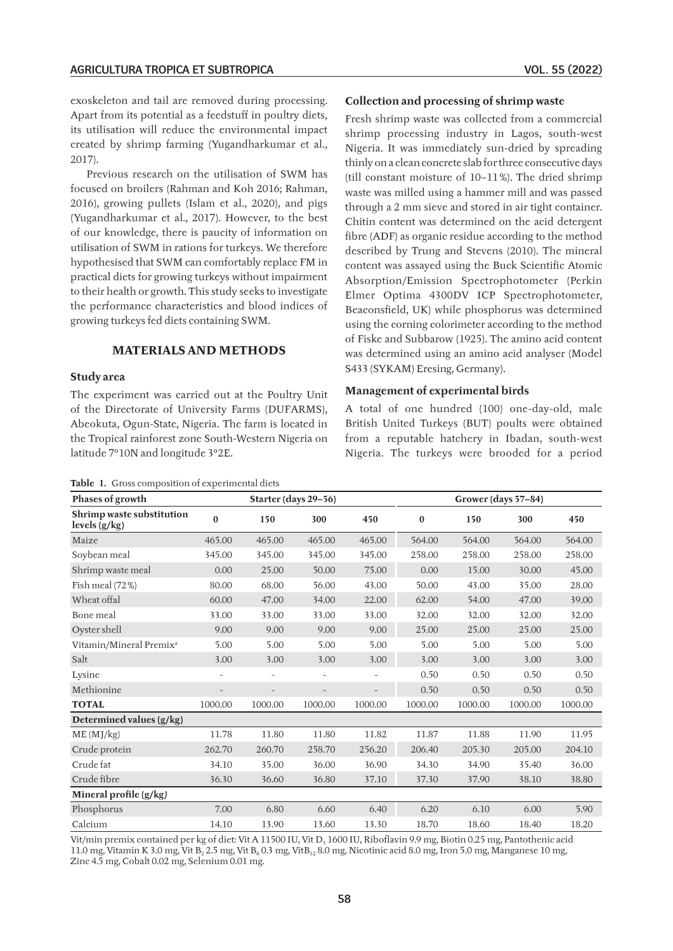exoskeleton and tail are removed during processing. Apart from its potential as a feedstuff in poultry diets, its utilisation will reduce the environmental impact created by shrimp farming (Yugandharkumar et al., 2017).

Previous research on the utilisation of SWM has focused on broilers (Rahman and Koh 2016; Rahman, 2016), growing pullets (Islam et al., 2020), and pigs (Yugandharkumar et al., 2017). However, to the best of our knowledge, there is paucity of information on utilisation of SWM in rations for turkeys. We therefore hypothesised that SWM can comfortably replace FM in practical diets for growing turkeys without impairment to their health or growth. This study seeks to investigate the performance characteristics and blood indices of growing turkeys fed diets containing SWM.

### **MATERIALS AND METHODS**

## **Study area**

The experiment was carried out at the Poultry Unit of the Directorate of University Farms (DUFARMS), Abeokuta, Ogun‑State, Nigeria. The farm is located in the Tropical rainforest zone South‑Western Nigeria on latitude 7°10N and longitude 3°2E.

| <b>Table 1.</b> Gross composition of experimental diets |
|---------------------------------------------------------|
|---------------------------------------------------------|

#### **Collection and processing of shrimp waste**

Fresh shrimp waste was collected from a commercial shrimp processing industry in Lagos, south-west Nigeria. It was immediately sun‑dried by spreading thinly on a clean concrete slab for three consecutive days (till constant moisture of 10–11%). The dried shrimp waste was milled using a hammer mill and was passed through a 2 mm sieve and stored in air tight container. Chitin content was determined on the acid detergent fibre (ADF) as organic residue according to the method described by Trung and Stevens (2010). The mineral content was assayed using the Buck Scientific Atomic Absorption/Emission Spectrophotometer (Perkin Elmer Optima 4300DV ICP Spectrophotometer, Beaconsfield, UK) while phosphorus was determined using the corning colorimeter according to the method of Fiske and Subbarow (1925). The amino acid content was determined using an amino acid analyser (Model S433 (SYKAM) Eresing, Germany).

#### **Management of experimental birds**

A total of one hundred (100) one‑day‑old, male British United Turkeys (BUT) poults were obtained from a reputable hatchery in Ibadan, south-west Nigeria. The turkeys were brooded for a period

| <b>rashe 1.</b> Shoss composition of experimental dicts |                          |                          |                          |                          |          |                     |         |         |
|---------------------------------------------------------|--------------------------|--------------------------|--------------------------|--------------------------|----------|---------------------|---------|---------|
| Phases of growth                                        |                          | Starter (days 29-56)     |                          |                          |          | Grower (days 57–84) |         |         |
| Shrimp waste substitution<br>levels (g/kg)              | $\mathbf{0}$             | 150                      | 300                      | 450                      | $\bf{0}$ | 150                 | 300     | 450     |
| Maize                                                   | 465.00                   | 465.00                   | 465.00                   | 465.00                   | 564.00   | 564.00              | 564.00  | 564.00  |
| Soybean meal                                            | 345.00                   | 345.00                   | 345.00                   | 345.00                   | 258.00   | 258.00              | 258.00  | 258.00  |
| Shrimp waste meal                                       | 0.00                     | 25.00                    | 50.00                    | 75.00                    | 0.00     | 15.00               | 30.00   | 45.00   |
| Fish meal (72%)                                         | 80.00                    | 68.00                    | 56.00                    | 43.00                    | 50.00    | 43.00               | 35.00   | 28.00   |
| Wheat offal                                             | 60.00                    | 47.00                    | 34.00                    | 22.00                    | 62.00    | 54.00               | 47.00   | 39.00   |
| Bone meal                                               | 33.00                    | 33.00                    | 33.00                    | 33.00                    | 32.00    | 32.00               | 32.00   | 32.00   |
| Oyster shell                                            | 9.00                     | 9.00                     | 9.00                     | 9.00                     | 25.00    | 25.00               | 25.00   | 25.00   |
| Vitamin/Mineral Premix <sup>a</sup>                     | 5.00                     | 5.00                     | 5.00                     | 5.00                     | 5.00     | 5.00                | 5.00    | 5.00    |
| Salt                                                    | 3.00                     | 3.00                     | 3.00                     | 3.00                     | 3.00     | 3.00                | 3.00    | 3.00    |
| Lysine                                                  |                          |                          |                          |                          | 0.50     | 0.50                | 0.50    | 0.50    |
| Methionine                                              | $\overline{\phantom{a}}$ | $\overline{\phantom{a}}$ | $\overline{\phantom{a}}$ | $\overline{\phantom{a}}$ | 0.50     | 0.50                | 0.50    | 0.50    |
| <b>TOTAL</b>                                            | 1000.00                  | 1000.00                  | 1000.00                  | 1000.00                  | 1000.00  | 1000.00             | 1000.00 | 1000.00 |
| Determined values (g/kg)                                |                          |                          |                          |                          |          |                     |         |         |
| ME (MJ/kg)                                              | 11.78                    | 11.80                    | 11.80                    | 11.82                    | 11.87    | 11.88               | 11.90   | 11.95   |
| Crude protein                                           | 262.70                   | 260.70                   | 258.70                   | 256.20                   | 206.40   | 205.30              | 205.00  | 204.10  |
| Crude fat                                               | 34.10                    | 35.00                    | 36.00                    | 36.90                    | 34.30    | 34.90               | 35.40   | 36.00   |
| Crude fibre                                             | 36.30                    | 36.60                    | 36.80                    | 37.10                    | 37.30    | 37.90               | 38.10   | 38.80   |
| Mineral profile (g/kg)                                  |                          |                          |                          |                          |          |                     |         |         |
| Phosphorus                                              | 7.00                     | 6.80                     | 6.60                     | 6.40                     | 6.20     | 6.10                | 6.00    | 5.90    |
| Calcium                                                 | 14.10                    | 13.90                    | 13.60                    | 13.30                    | 18.70    | 18.60               | 18.40   | 18.20   |

Vit/min premix contained per kg of diet: Vit A 11500 IU, Vit D<sub>3</sub> 1600 IU, Riboflavin 9.9 mg, Biotin 0.25 mg, Pantothenic acid 11.0 mg, Vitamin K 3.0 mg, Vit B<sub>2</sub> 2.5 mg, Vit B<sub>6</sub> 0.3 mg, VitB<sub>12</sub> 8.0 mg, Nicotinic acid 8.0 mg, Iron 5.0 mg, Manganese 10 mg, Zinc 4.5 mg, Cobalt 0.02 mg, Selenium 0.01 mg.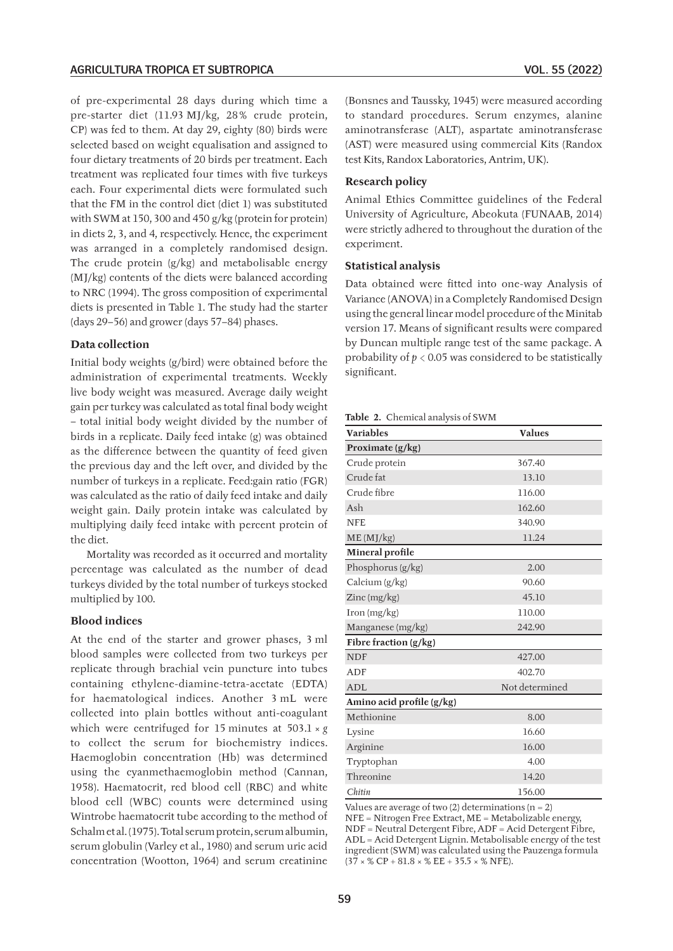of pre‑experimental 28 days during which time a pre-starter diet (11.93 MJ/kg, 28% crude protein, CP) was fed to them. At day 29, eighty (80) birds were selected based on weight equalisation and assigned to four dietary treatments of 20 birds per treatment. Each treatment was replicated four times with five turkeys each. Four experimental diets were formulated such that the FM in the control diet (diet 1) was substituted with SWM at 150, 300 and 450 g/kg (protein for protein) in diets 2, 3, and 4, respectively. Hence, the experiment was arranged in a completely randomised design. The crude protein (g/kg) and metabolisable energy (MJ/kg) contents of the diets were balanced according to NRC (1994). The gross composition of experimental diets is presented in Table 1. The study had the starter (days 29–56) and grower (days 57–84) phases.

### **Data collection**

Initial body weights (g/bird) were obtained before the administration of experimental treatments. Weekly live body weight was measured. Average daily weight gain per turkey was calculated as total final body weight – total initial body weight divided by the number of birds in a replicate. Daily feed intake (g) was obtained as the difference between the quantity of feed given the previous day and the left over, and divided by the number of turkeys in a replicate. Feed:gain ratio (FGR) was calculated as the ratio of daily feed intake and daily weight gain. Daily protein intake was calculated by multiplying daily feed intake with percent protein of the diet.

Mortality was recorded as it occurred and mortality percentage was calculated as the number of dead turkeys divided by the total number of turkeys stocked multiplied by 100.

#### **Blood indices**

At the end of the starter and grower phases, 3 ml blood samples were collected from two turkeys per replicate through brachial vein puncture into tubes containing ethylene‑diamine‑tetra‑acetate (EDTA) for haematological indices. Another 3 mL were collected into plain bottles without anti‑coagulant which were centrifuged for 15 minutes at  $503.1 \times g$ to collect the serum for biochemistry indices. Haemoglobin concentration (Hb) was determined using the cyanmethaemoglobin method (Cannan, 1958). Haematocrit, red blood cell (RBC) and white blood cell (WBC) counts were determined using Wintrobe haematocrit tube according to the method of Schalmet al. (1975). Total serum protein, serum albumin, serum globulin (Varley et al., 1980) and serum uric acid concentration (Wootton, 1964) and serum creatinine (Bonsnes and Taussky, 1945) were measured according to standard procedures. Serum enzymes, alanine aminotransferase (ALT), aspartate aminotransferase (AST) were measured using commercial Kits (Randox test Kits, Randox Laboratories, Antrim, UK).

# **Research policy**

Animal Ethics Committee guidelines of the Federal University of Agriculture, Abeokuta [\(FUNAAB,](https://www.sciencedirect.com/science/article/pii/S2451943X16300163#bib0025) 2014) were strictly adhered to throughout the duration of the experiment.

#### **Statistical analysis**

Data obtained were fitted into one‑way Analysis of Variance (ANOVA) in a Completely Randomised Design using the general linear model procedure of the Minitab version 17. Means of significant results were compared by Duncan multiple range test of the same package. A probability of  $p < 0.05$  was considered to be statistically significant.

**Table 2.** Chemical analysis of SWM

| <b>Variables</b>                               | <b>Values</b>  |
|------------------------------------------------|----------------|
| Proximate (g/kg)                               |                |
| Crude protein                                  | 367.40         |
| Crude fat                                      | 13.10          |
| Crude fibre                                    | 116.00         |
| Ash                                            | 162.60         |
| <b>NFE</b>                                     | 340.90         |
| ME (MJ/kg)                                     | 11.24          |
| Mineral profile                                |                |
| Phosphorus (g/kg)                              | 2.00           |
| Calcium $(g/kg)$                               | 90.60          |
| Zinc (mg/kg)                                   | 45.10          |
| $\operatorname{Iron}\left(\text{mg/kg}\right)$ | 110.00         |
| Manganese (mg/kg)                              | 242.90         |
| Fibre fraction (g/kg)                          |                |
| <b>NDF</b>                                     | 427.00         |
| <b>ADF</b>                                     | 402.70         |
| <b>ADL</b>                                     | Not determined |
| Amino acid profile (g/kg)                      |                |
| Methionine                                     | 8.00           |
| Lysine                                         | 16.60          |
| Arginine                                       | 16.00          |
| Tryptophan                                     | 4.00           |
| Threonine                                      | 14.20          |
| Chitin                                         | 156.00         |

Values are average of two  $(2)$  determinations  $(n = 2)$ 

NFE = Nitrogen Free Extract, ME = Metabolizable energy, NDF = Neutral Detergent Fibre, ADF = Acid Detergent Fibre, ADL = Acid Detergent Lignin. Metabolisable energy of the test ingredient (SWM) was calculated using the Pauzenga formula  $(37 \times \%$  CP + 81.8  $\times$  % EE + 35.5  $\times$  % NFE).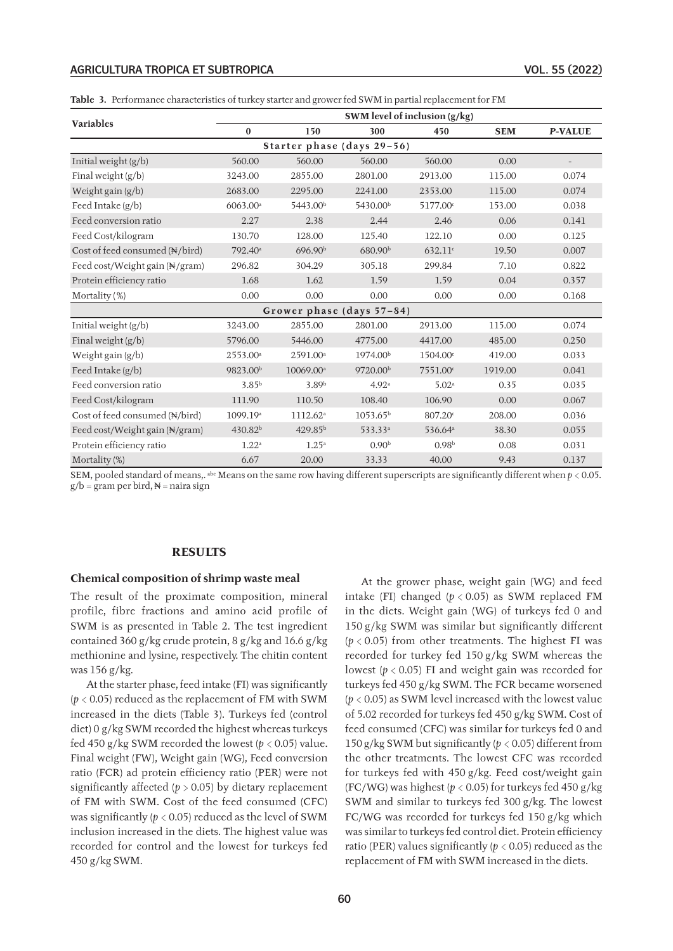#### AGRICULTURA TROPICA ET SUBTROPICA VOL. 55 (2022)

|  | <b>Table 3.</b> Performance characteristics of turkey starter and grower fed SWM in partial replacement for FM |  |  |  |
|--|----------------------------------------------------------------------------------------------------------------|--|--|--|
|--|----------------------------------------------------------------------------------------------------------------|--|--|--|

|                                |                      |                            |                      | SWM level of inclusion (g/kg) |            |                |
|--------------------------------|----------------------|----------------------------|----------------------|-------------------------------|------------|----------------|
| Variables                      | $\bf{0}$             | 150                        | 300                  | 450                           | <b>SEM</b> | <b>P-VALUE</b> |
|                                |                      | Starter phase (days 29-56) |                      |                               |            |                |
| Initial weight (g/b)           | 560.00               | 560.00                     | 560.00               | 560.00                        | 0.00       |                |
| Final weight (g/b)             | 3243.00              | 2855.00                    | 2801.00              | 2913.00                       | 115.00     | 0.074          |
| Weight gain (g/b)              | 2683.00              | 2295.00                    | 2241.00              | 2353.00                       | 115.00     | 0.074          |
| Feed Intake (g/b)              | 6063.00 <sup>a</sup> | 5443.00 <sup>b</sup>       | 5430.00 <sup>b</sup> | 5177.00 <sup>c</sup>          | 153.00     | 0.038          |
| Feed conversion ratio          | 2.27                 | 2.38                       | 2.44                 | 2.46                          | 0.06       | 0.141          |
| Feed Cost/kilogram             | 130.70               | 128.00                     | 125.40               | 122.10                        | 0.00       | 0.125          |
| Cost of feed consumed (N/bird) | 792.40 <sup>a</sup>  | 696.90 <sup>b</sup>        | 680.90 <sup>b</sup>  | 632.11c                       | 19.50      | 0.007          |
| Feed cost/Weight gain (N/gram) | 296.82               | 304.29                     | 305.18               | 299.84                        | 7.10       | 0.822          |
| Protein efficiency ratio       | 1.68                 | 1.62                       | 1.59                 | 1.59                          | 0.04       | 0.357          |
| Mortality (%)                  | 0.00                 | 0.00                       | 0.00                 | 0.00                          | 0.00       | 0.168          |
|                                |                      | Grower phase (days 57-84)  |                      |                               |            |                |
| Initial weight (g/b)           | 3243.00              | 2855.00                    | 2801.00              | 2913.00                       | 115.00     | 0.074          |
| Final weight (g/b)             | 5796.00              | 5446.00                    | 4775.00              | 4417.00                       | 485.00     | 0.250          |
| Weight gain (g/b)              | 2553.00 <sup>a</sup> | 2591.00 <sup>a</sup>       | 1974.00 <sup>b</sup> | 1504.00 <sup>c</sup>          | 419.00     | 0.033          |
| Feed Intake (g/b)              | 9823.00 <sup>b</sup> | 10069.00 <sup>a</sup>      | 9720.00 <sup>b</sup> | 7551.00 <sup>c</sup>          | 1919.00    | 0.041          |
| Feed conversion ratio          | $3.85^{b}$           | 3.89 <sup>b</sup>          | 4.92 <sup>a</sup>    | 5.02 <sup>a</sup>             | 0.35       | 0.035          |
| Feed Cost/kilogram             | 111.90               | 110.50                     | 108.40               | 106.90                        | 0.00       | 0.067          |
| Cost of feed consumed (N/bird) | 1099.19 <sup>a</sup> | 1112.62 <sup>a</sup>       | 1053.65 <sup>b</sup> | 807.20 <sup>c</sup>           | 208.00     | 0.036          |
| Feed cost/Weight gain (N/gram) | 430.82 <sup>b</sup>  | 429.85 <sup>b</sup>        | 533.33 <sup>a</sup>  | 536.64 <sup>a</sup>           | 38.30      | 0.055          |
| Protein efficiency ratio       | 1.22 <sup>a</sup>    | $1.25^{\circ}$             | 0.90 <sup>b</sup>    | 0.98 <sup>b</sup>             | 0.08       | 0.031          |
| Mortality (%)                  | 6.67                 | 20.00                      | 33.33                | 40.00                         | 9.43       | 0.137          |

SEM, pooled standard of means,. <sup>abc</sup> Means on the same row having different superscripts are significantly different when  $p < 0.05$ .  $g/b = gram per bird,  $\mathbb{N} = naira sign$$ 

### **RESULTS**

#### **Chemical composition of shrimp waste meal**

The result of the proximate composition, mineral profile, fibre fractions and amino acid profile of SWM is as presented in Table 2. The test ingredient contained 360 g/kg crude protein, 8 g/kg and 16.6 g/kg methionine and lysine, respectively. The chitin content was 156 g/kg.

At the starter phase, feed intake (FI) was significantly  $(p < 0.05)$  reduced as the replacement of FM with SWM increased in the diets (Table 3). Turkeys fed (control diet) 0 g/kg SWM recorded the highest whereas turkeys fed 450 g/kg SWM recorded the lowest (*p* < 0.05) value. Final weight (FW), Weight gain (WG), Feed conversion ratio (FCR) ad protein efficiency ratio (PER) were not significantly affected  $(p > 0.05)$  by dietary replacement of FM with SWM. Cost of the feed consumed (CFC) was significantly  $(p < 0.05)$  reduced as the level of SWM inclusion increased in the diets. The highest value was recorded for control and the lowest for turkeys fed 450 g/kg SWM.

At the grower phase, weight gain (WG) and feed intake (FI) changed  $(p < 0.05)$  as SWM replaced FM in the diets. Weight gain (WG) of turkeys fed 0 and 150 g/kg SWM was similar but significantly different  $(p < 0.05)$  from other treatments. The highest FI was recorded for turkey fed 150 g/kg SWM whereas the lowest  $(p < 0.05)$  FI and weight gain was recorded for turkeys fed 450 g/kg SWM. The FCR became worsened (*p* < 0.05) as SWM level increased with the lowest value of 5.02 recorded for turkeys fed 450 g/kg SWM. Cost of feed consumed (CFC) was similar for turkeys fed 0 and 150 g/kg SWM but significantly (*p* < 0.05) different from the other treatments. The lowest CFC was recorded for turkeys fed with 450 g/kg. Feed cost/weight gain (FC/WG) was highest ( $p < 0.05$ ) for turkeys fed 450 g/kg SWM and similar to turkeys fed 300 g/kg. The lowest FC/WG was recorded for turkeys fed 150 g/kg which was similar to turkeys fed control diet. Protein efficiency ratio (PER) values significantly (*p* < 0.05) reduced as the replacement of FM with SWM increased in the diets.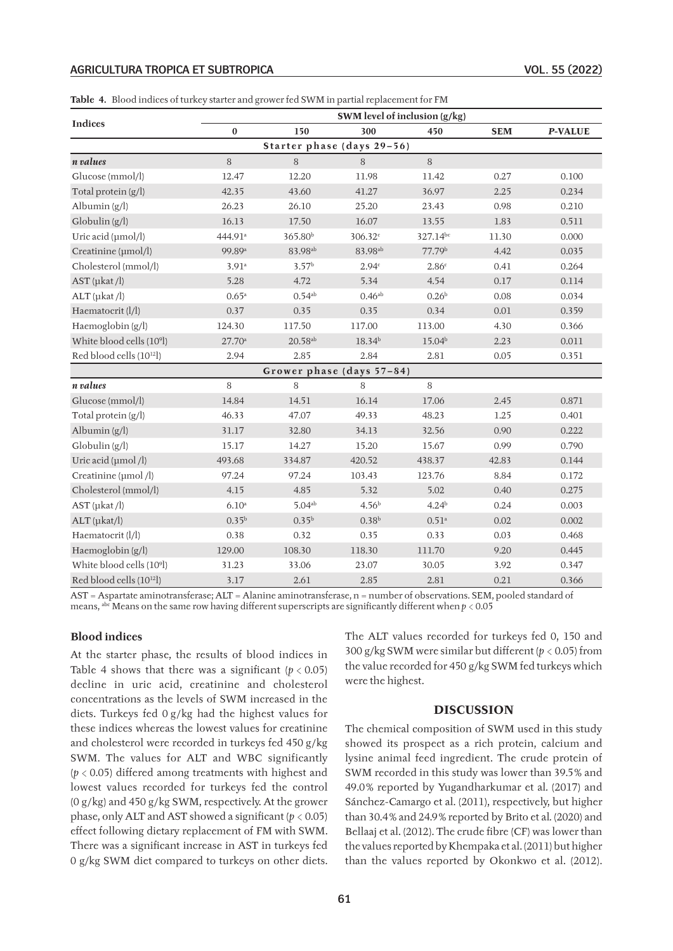#### AGRICULTURA TROPICA ET SUBTROPICA VOL. 55 (2022)

|                                       |                     |                           |                     | SWM level of inclusion (g/kg) |            |                |  |  |  |
|---------------------------------------|---------------------|---------------------------|---------------------|-------------------------------|------------|----------------|--|--|--|
| <b>Indices</b>                        | $\boldsymbol{0}$    | 150                       | 300                 | 450                           | <b>SEM</b> | <b>P-VALUE</b> |  |  |  |
| Starter phase (days 29-56)            |                     |                           |                     |                               |            |                |  |  |  |
| n values                              | 8                   | 8                         | 8                   | $\, 8$                        |            |                |  |  |  |
| Glucose (mmol/l)                      | 12.47               | 12.20                     | 11.98               | 11.42                         | 0.27       | 0.100          |  |  |  |
| Total protein $(g/l)$                 | 42.35               | 43.60                     | 41.27               | 36.97                         | 2.25       | 0.234          |  |  |  |
| Albumin $(g/l)$                       | 26.23               | 26.10                     | 25.20               | 23.43                         | 0.98       | 0.210          |  |  |  |
| $G$ lobulin $(g/l)$                   | 16.13               | 17.50                     | 16.07               | 13.55                         | 1.83       | 0.511          |  |  |  |
| Uric acid (µmol/l)                    | 444.91 <sup>a</sup> | 365.80 <sup>b</sup>       | 306.32c             | 327.14bc                      | 11.30      | 0.000          |  |  |  |
| Creatinine (µmol/l)                   | 99.89 <sup>a</sup>  | 83.98 <sup>ab</sup>       | 83.98 <sup>ab</sup> | 77.79b                        | 4.42       | 0.035          |  |  |  |
| Cholesterol (mmol/l)                  | 3.91a               | 3.57 <sup>b</sup>         | 2.94c               | 2.86c                         | 0.41       | 0.264          |  |  |  |
| $AST$ ( $\mu$ kat /l)                 | 5.28                | 4.72                      | 5.34                | 4.54                          | 0.17       | 0.114          |  |  |  |
| $ALT$ ( $\mu$ kat /l)                 | 0.65a               | $0.54^{ab}$               | $0.46^{ab}$         | 0.26 <sup>b</sup>             | 0.08       | 0.034          |  |  |  |
| Haematocrit (l/l)                     | 0.37                | 0.35                      | 0.35                | 0.34                          | 0.01       | 0.359          |  |  |  |
| Haemoglobin (g/l)                     | 124.30              | 117.50                    | 117.00              | 113.00                        | 4.30       | 0.366          |  |  |  |
| White blood cells (10 <sup>9</sup> l) | $27.70^{\circ}$     | $20.58$ <sup>ab</sup>     | 18.34 <sup>b</sup>  | 15.04 <sup>b</sup>            | 2.23       | $0.011\,$      |  |  |  |
| Red blood cells (10 <sup>12</sup> l)  | 2.94                | 2.85                      | 2.84                | 2.81                          | 0.05       | 0.351          |  |  |  |
|                                       |                     | Grower phase (days 57-84) |                     |                               |            |                |  |  |  |
| n values                              | 8                   | 8                         | 8                   | 8                             |            |                |  |  |  |
| Glucose (mmol/l)                      | 14.84               | 14.51                     | 16.14               | 17.06                         | 2.45       | 0.871          |  |  |  |
| Total protein $(g/l)$                 | 46.33               | 47.07                     | 49.33               | 48.23                         | 1.25       | 0.401          |  |  |  |
| Albumin $(g/l)$                       | 31.17               | 32.80                     | 34.13               | 32.56                         | 0.90       | 0.222          |  |  |  |
| Globulin(g/l)                         | 15.17               | 14.27                     | 15.20               | 15.67                         | 0.99       | 0.790          |  |  |  |
| Uric acid (µmol /l)                   | 493.68              | 334.87                    | 420.52              | 438.37                        | 42.83      | 0.144          |  |  |  |
| Creatinine (µmol /l)                  | 97.24               | 97.24                     | 103.43              | 123.76                        | 8.84       | 0.172          |  |  |  |
| Cholesterol (mmol/l)                  | 4.15                | 4.85                      | 5.32                | 5.02                          | 0.40       | 0.275          |  |  |  |
| $AST$ ( $\mu$ kat /l)                 | $6.10^{a}$          | $5.04^{ab}$               | 4.56 <sup>b</sup>   | $4.24^{b}$                    | 0.24       | 0.003          |  |  |  |
| $ALT$ ( $\mu$ kat/l)                  | $0.35^{b}$          | $0.35^{b}$                | 0.38 <sup>b</sup>   | $0.51^{\circ}$                | 0.02       | 0.002          |  |  |  |
| Haematocrit (l/l)                     | 0.38                | 0.32                      | 0.35                | 0.33                          | 0.03       | 0.468          |  |  |  |
| Haemoglobin (g/l)                     | 129.00              | 108.30                    | 118.30              | 111.70                        | 9.20       | 0.445          |  |  |  |
| White blood cells (10 <sup>9</sup> l) | 31.23               | 33.06                     | 23.07               | 30.05                         | 3.92       | 0.347          |  |  |  |
| Red blood cells (10 <sup>12</sup> l)  | 3.17                | 2.61                      | 2.85                | 2.81                          | 0.21       | 0.366          |  |  |  |

**Table 4.** Blood indices of turkey starter and grower fed SWM in partial replacement for FM

AST = Aspartate aminotransferase; ALT = Alanine aminotransferase, n = number of observations. SEM, pooled standard of means, abc Means on the same row having different superscripts are significantly different when *p* < 0.05

### **Blood indices**

At the starter phase, the results of blood indices in Table 4 shows that there was a significant  $(p < 0.05)$ decline in uric acid, creatinine and cholesterol concentrations as the levels of SWM increased in the diets. Turkeys fed 0 g/kg had the highest values for these indices whereas the lowest values for creatinine and cholesterol were recorded in turkeys fed 450 g/kg SWM. The values for ALT and WBC significantly (*p* < 0.05) differed among treatments with highest and lowest values recorded for turkeys fed the control (0 g/kg) and 450 g/kg SWM, respectively. At the grower phase, only ALT and AST showed a significant  $(p < 0.05)$ effect following dietary replacement of FM with SWM. There was a significant increase in AST in turkeys fed 0 g/kg SWM diet compared to turkeys on other diets.

The ALT values recorded for turkeys fed 0, 150 and 300 g/kg SWM were similar but different (*p* < 0.05) from the value recorded for 450 g/kg SWM fed turkeys which were the highest.

### **DISCUSSION**

The chemical composition of SWM used in this study showed its prospect as a rich protein, calcium and lysine animal feed ingredient. The crude protein of SWM recorded in this study was lower than 39.5% and 49.0% reported by Yugandharkumar et al*.* (2017) and Sánchez-Camargo et al. (2011), respectively, but higher than 30.4% and 24.9% reported by Brito et al*.* (2020) and Bellaaj et al. (2012). The crude fibre (CF) was lower than the values reported by Khempaka et al. (2011) but higher than the values reported by Okonkwo et al. (2012).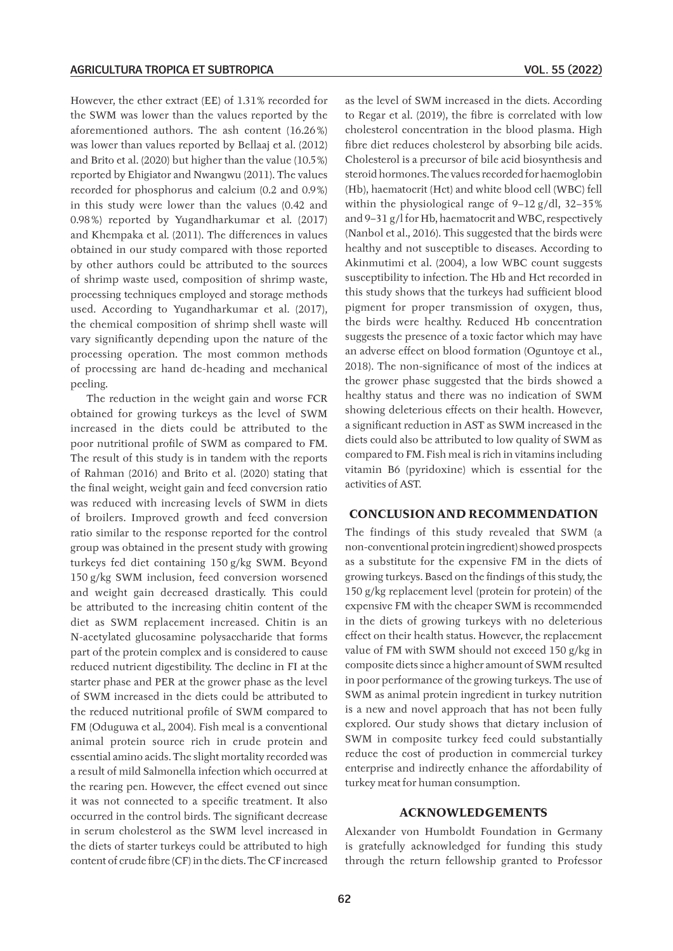However, the ether extract (EE) of 1.31% recorded for the SWM was lower than the values reported by the aforementioned authors. The ash content (16.26 %) was lower than values reported by Bellaaj et al. (2012) and Brito et al. (2020) but higher than the value (10.5%) reported by Ehigiator and Nwangwu (2011). The values recorded for phosphorus and calcium (0.2 and 0.9%) in this study were lower than the values (0.42 and 0.98 %) reported by Yugandharkumar et al*.* (2017) and Khempaka et al*.* (2011). The differences in values obtained in our study compared with those reported by other authors could be attributed to the sources of shrimp waste used, composition of shrimp waste, processing techniques employed and storage methods used. According to Yugandharkumar et al*.* (2017), the chemical composition of shrimp shell waste will vary significantly depending upon the nature of the processing operation. The most common methods of processing are hand de‑heading and mechanical peeling.

The reduction in the weight gain and worse FCR obtained for growing turkeys as the level of SWM increased in the diets could be attributed to the poor nutritional profile of SWM as compared to FM. The result of this study is in tandem with the reports of Rahman (2016) and Brito et al. (2020) stating that the final weight, weight gain and feed conversion ratio was reduced with increasing levels of SWM in diets of broilers. Improved growth and feed conversion ratio similar to the response reported for the control group was obtained in the present study with growing turkeys fed diet containing 150 g/kg SWM. Beyond 150 g/kg SWM inclusion, feed conversion worsened and weight gain decreased drastically. This could be attributed to the increasing chitin content of the diet as SWM replacement increased. Chitin is an N‑acetylated glucosamine polysaccharide that forms part of the protein complex and is considered to cause reduced nutrient digestibility. The decline in FI at the starter phase and PER at the grower phase as the level of SWM increased in the diets could be attributed to the reduced nutritional profile of SWM compared to FM (Oduguwa et al*.,* 2004). Fish meal is a conventional animal protein source rich in crude protein and essential amino acids. The slight mortality recorded was a result of mild Salmonella infection which occurred at the rearing pen. However, the effect evened out since it was not connected to a specific treatment. It also occurred in the control birds. The significant decrease in serum cholesterol as the SWM level increased in the diets of starter turkeys could be attributed to high content of crude fibre (CF) in the diets. The CF increased

as the level of SWM increased in the diets. According to Regar et al. (2019), the fibre is correlated with low cholesterol concentration in the blood plasma. High fibre diet reduces cholesterol by absorbing bile acids. Cholesterol is a precursor of bile acid biosynthesis and steroid hormones. The values recorded for haemoglobin (Hb), haematocrit (Hct) and white blood cell (WBC) fell within the physiological range of 9–12 g/dl, 32–35% and 9–31 g/l for Hb, haematocrit and WBC, respectively (Nanbol et al., 2016). This suggested that the birds were healthy and not susceptible to diseases. According to Akinmutimi et al. (2004), a low WBC count suggests susceptibility to infection. The Hb and Hct recorded in this study shows that the turkeys had sufficient blood pigment for proper transmission of oxygen, thus, the birds were healthy. Reduced Hb concentration suggests the presence of a toxic factor which may have an adverse effect on blood formation (Oguntoye et al., 2018). The non‑significance of most of the indices at the grower phase suggested that the birds showed a healthy status and there was no indication of SWM showing deleterious effects on their health. However, a significant reduction in AST as SWM increased in the diets could also be attributed to low quality of SWM as compared to FM. Fish meal is rich in vitamins including vitamin B6 (pyridoxine) which is essential for the activities of AST.

# **CONCLUSION AND RECOMMENDATION**

The findings of this study revealed that SWM (a non‑conventional protein ingredient) showed prospects as a substitute for the expensive FM in the diets of growing turkeys. Based on the findings of this study, the 150 g/kg replacement level (protein for protein) of the expensive FM with the cheaper SWM is recommended in the diets of growing turkeys with no deleterious effect on their health status. However, the replacement value of FM with SWM should not exceed 150 g/kg in composite diets since a higher amount of SWM resulted in poor performance of the growing turkeys. The use of SWM as animal protein ingredient in turkey nutrition is a new and novel approach that has not been fully explored. Our study shows that dietary inclusion of SWM in composite turkey feed could substantially reduce the cost of production in commercial turkey enterprise and indirectly enhance the affordability of turkey meat for human consumption.

# **ACKNOWLEDGEMENTS**

Alexander von Humboldt Foundation in Germany is gratefully acknowledged for funding this study through the return fellowship granted to Professor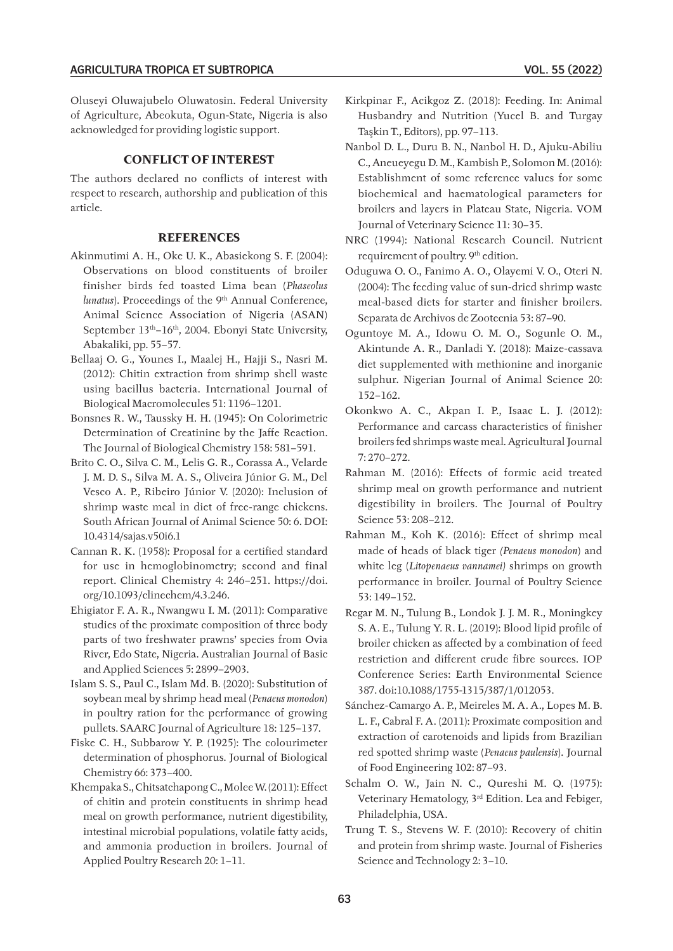Oluseyi Oluwajubelo Oluwatosin. Federal University of Agriculture, Abeokuta, Ogun‑State, Nigeria is also acknowledged for providing logistic support.

## **CONFLICT OF INTEREST**

The authors declared no conflicts of interest with respect to research, authorship and publication of this article.

### **REFERENCES**

- Akinmutimi A. H., Oke U. K., Abasiekong S. F. (2004): Observations on blood constituents of broiler finisher birds fed toasted Lima bean (*Phaseolus lunatus*). Proceedings of the 9<sup>th</sup> Annual Conference, Animal Science Association of Nigeria (ASAN) September 13<sup>th</sup>–16<sup>th</sup>, 2004. Ebonyi State University, Abakaliki, pp. 55–57.
- Bellaaj O. G., Younes I., Maalej H., Hajji S., Nasri M. (2012): Chitin extraction from shrimp shell waste using bacillus bacteria. International Journal of Biological Macromolecules 51: 1196–1201.
- Bonsnes R. W., Taussky H. H. (1945): On Colorimetric Determination of Creatinine by the Jaffe Reaction. The Journal of Biological Chemistry 158: 581–591.
- Brito C. O., Silva C. M., Lelis G. R., Corassa A., Velarde J. M. D. S., Silva M. A. S., Oliveira Júnior G. M., Del Vesco A. P., Ribeiro Júnior V. (2020): Inclusion of shrimp waste meal in diet of free-range chickens. South African Journal of Animal Science 50: 6. DOI: [10.4314/sajas.v50i6.1](about:blank)
- Cannan R. K. (1958): Proposal for a certified standard for use in hemoglobinometry; second and final report. Clinical Chemistry 4: 246–251. [https://doi.](https://doi.org/10.1093/clinechem/4.3.246) [org/10.1093/clinechem/4.3.246](https://doi.org/10.1093/clinechem/4.3.246).
- Ehigiator F. A. R., Nwangwu I. M. (2011): Comparative studies of the proximate composition of three body parts of two freshwater prawns' species from Ovia River, Edo State, Nigeria. Australian Journal of Basic and Applied Sciences 5: 2899–2903.
- Islam S. S., Paul C., Islam Md. B. (2020): Substitution of soybean meal by shrimp head meal (*Penaeus monodon*) in poultry ration for the performance of growing pullets. SAARC Journal of Agriculture 18: 125–137.
- Fiske C. H., Subbarow Y. P. (1925): The colourimeter determination of phosphorus. Journal of Biological Chemistry 66: 373–400.
- [Khempaka](http://japr.fass.org/search?author1=S.+Khempaka&sortspec=date&submit=Submit) S., [Chitsatchapong](http://japr.fass.org/search?author1=C.+Chitsatchapong&sortspec=date&submit=Submit) C., [Molee](http://japr.fass.org/search?author1=W.+Molee&sortspec=date&submit=Submit) W. (2011): Effect of chitin and protein constituents in shrimp head meal on growth performance, nutrient digestibility, intestinal microbial populations, volatile fatty acids, and ammonia production in broilers. Journal of Applied Poultry Research 20: 1–11.
- Kirkpinar F., Acikgoz Z. (2018): Feeding. In: Animal Husbandry and Nutrition (Yucel B. and Turgay Taşkin T., Editors), pp. 97–113.
- Nanbol D. L., Duru B. N., Nanbol H. D., Ajuku‑Abiliu C., Aneueyegu D. M., Kambish P., Solomon M. (2016): Establishment of some reference values for some biochemical and haematological parameters for broilers and layers in Plateau State, Nigeria. VOM Journal of Veterinary Science 11: 30–35.
- NRC (1994): National Research Council. Nutrient requirement of poultry. 9<sup>th</sup> edition.
- Oduguwa O. O., Fanimo A. O., Olayemi V. O., Oteri N. (2004): The feeding value of sun‑dried shrimp waste meal‑based diets for starter and finisher broilers. Separata de Archivos de Zootecnia 53: 87–90.
- Oguntoye M. A., Idowu O. M. O., Sogunle O. M., Akintunde A. R., Danladi Y. (2018): Maize‑cassava diet supplemented with methionine and inorganic sulphur. Nigerian Journal of Animal Science 20: 152–162.
- Okonkwo A. C., Akpan I. P., Isaac L. J. (2012): Performance and carcass characteristics of finisher broilers fed shrimps waste meal. Agricultural Journal 7: 270–272.
- Rahman M. (2016): Effects of formic acid treated shrimp meal on growth performance and nutrient digestibility in broilers. The Journal of Poultry Science 53: 208–212.
- Rahman M., Koh K. (2016): Effect of shrimp meal made of heads of black tiger *(Penaeus monodon*) and white leg (*Litopenaeus vannamei)* shrimps on growth performance in broiler. Journal of Poultry Science 53: 149–152.
- Regar M. N., Tulung B., Londok J. J. M. R., Moningkey S. A. E., Tulung Y. R. L. (2019): Blood lipid profile of broiler chicken as affected by a combination of feed restriction and different crude fibre sources. IOP Conference Series: Earth Environmental Science 387. doi:10.1088/1755-1315/387/1/012053.
- Sánchez‑Camargo A. P., Meireles M. A. A., Lopes M. B. L. F., Cabral F. A. (2011): Proximate composition and extraction of carotenoids and lipids from Brazilian red spotted shrimp waste (*Penaeus paulensis*). Journal of Food Engineering 102: 87–93.
- Schalm O. W., Jain N. C., Qureshi M. Q. (1975): Veterinary Hematology, 3rd Edition. Lea and Febiger, Philadelphia, USA.
- Trung T. S., Stevens W. F. (2010): Recovery of chitin and protein from shrimp waste. Journal of Fisheries Science and Technology 2: 3–10.